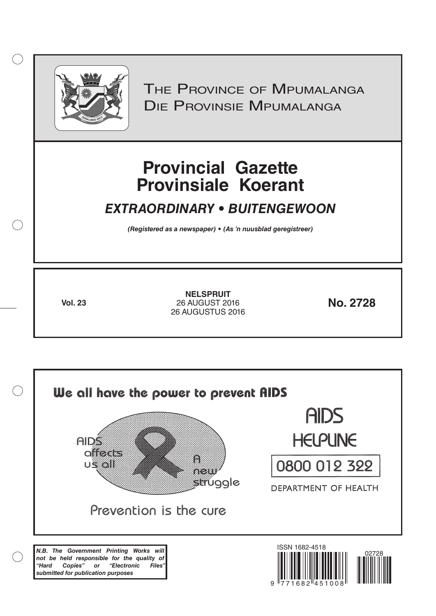

 $( )$ 

THE PROVINCE OF MPUMALANGA Die Provinsie Mpumalanga

# **Provincial Gazette Provinsiale Koerant**

# *EXTRAORDINARY • BUITENGEWOON*

*(Registered as a newspaper) • (As 'n nuusblad geregistreer)*

**Vol. 23 No. 2728** 26 AUGUST 2016 **NELSPRUIT** 26 AUGUSTUS 2016

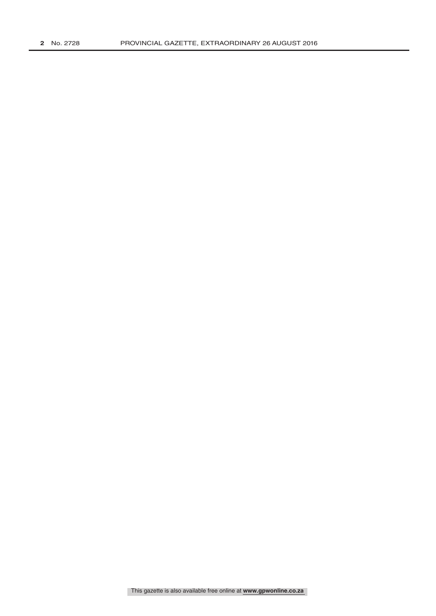This gazette is also available free online at **www.gpwonline.co.za**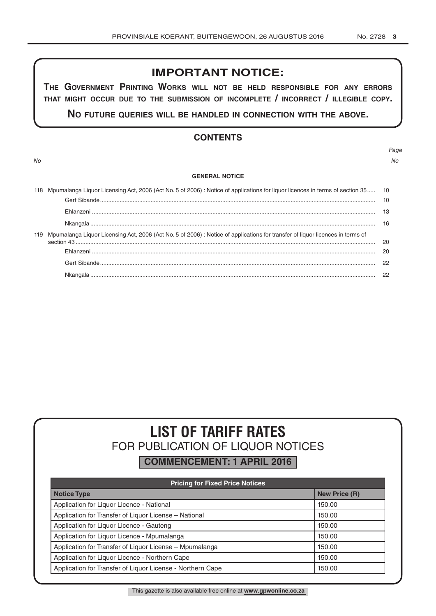# **IMPORTANT NOTICE:**

**The GovernmenT PrinTinG Works Will noT be held resPonsible for any errors ThaT miGhT occur due To The submission of incomPleTe / incorrecT / illeGible coPy.**

**no fuTure queries Will be handled in connecTion WiTh The above.**

# **CONTENTS**

#### **GENERAL NOTICE**

|     | 118 Mpumalanga Liquor Licensing Act, 2006 (Act No. 5 of 2006) : Notice of applications for liquor licences in terms of section 35 10 |     |  |  |
|-----|--------------------------------------------------------------------------------------------------------------------------------------|-----|--|--|
|     |                                                                                                                                      | 10  |  |  |
|     |                                                                                                                                      |     |  |  |
|     |                                                                                                                                      |     |  |  |
| 119 | Mpumalanga Liquor Licensing Act, 2006 (Act No. 5 of 2006) : Notice of applications for transfer of liquor licences in terms of       |     |  |  |
|     |                                                                                                                                      |     |  |  |
|     |                                                                                                                                      | -20 |  |  |
|     |                                                                                                                                      |     |  |  |
|     |                                                                                                                                      | 22  |  |  |

# **LIST OF TARIFF RATES** FOR PUBLICATION OF LIQUOR NOTICES

**COMMENCEMENT: 1 APRIL 2016**

| <b>Pricing for Fixed Price Notices</b>                     |                      |  |  |  |  |
|------------------------------------------------------------|----------------------|--|--|--|--|
| <b>Notice Type</b>                                         | <b>New Price (R)</b> |  |  |  |  |
| Application for Liquor Licence - National                  | 150.00               |  |  |  |  |
| Application for Transfer of Liquor License - National      | 150.00               |  |  |  |  |
| Application for Liquor Licence - Gauteng                   | 150.00               |  |  |  |  |
| Application for Liquor Licence - Mpumalanga                | 150.00               |  |  |  |  |
| Application for Transfer of Liquor License - Mpumalanga    | 150.00               |  |  |  |  |
| Application for Liquor Licence - Northern Cape             | 150.00               |  |  |  |  |
| Application for Transfer of Liquor License - Northern Cape | 150.00               |  |  |  |  |

*No No*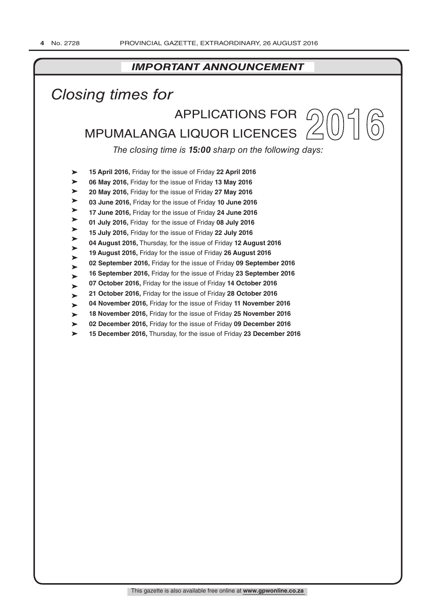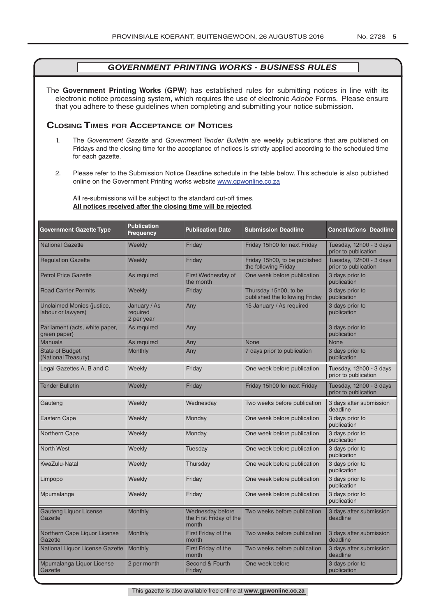The **Government Printing Works** (**GPW**) has established rules for submitting notices in line with its electronic notice processing system, which requires the use of electronic *Adobe* Forms. Please ensure that you adhere to these guidelines when completing and submitting your notice submission.

# **Closing Times for ACCepTAnCe of noTiCes**

- 1. The *Government Gazette* and *Government Tender Bulletin* are weekly publications that are published on Fridays and the closing time for the acceptance of notices is strictly applied according to the scheduled time for each gazette.
- 2. Please refer to the Submission Notice Deadline schedule in the table below. This schedule is also published online on the Government Printing works website www.gpwonline.co.za

All re-submissions will be subject to the standard cut-off times. **All notices received after the closing time will be rejected**.

| <b>Government Gazette Type</b>                   | <b>Publication</b><br><b>Frequency</b> | <b>Publication Date</b>                              | <b>Submission Deadline</b>                              | <b>Cancellations Deadline</b>                   |
|--------------------------------------------------|----------------------------------------|------------------------------------------------------|---------------------------------------------------------|-------------------------------------------------|
| <b>National Gazette</b>                          | Weekly                                 | Friday                                               | Friday 15h00 for next Friday                            | Tuesday, 12h00 - 3 days<br>prior to publication |
| <b>Regulation Gazette</b>                        | Weekly                                 | Friday                                               | Friday 15h00, to be published<br>the following Friday   | Tuesday, 12h00 - 3 days<br>prior to publication |
| <b>Petrol Price Gazette</b>                      | As required                            | First Wednesday of<br>the month                      | One week before publication                             | 3 days prior to<br>publication                  |
| <b>Road Carrier Permits</b>                      | Weekly                                 | Friday                                               | Thursday 15h00, to be<br>published the following Friday | 3 days prior to<br>publication                  |
| Unclaimed Monies (justice,<br>labour or lawyers) | January / As<br>required<br>2 per year | Any                                                  | 15 January / As required                                | 3 days prior to<br>publication                  |
| Parliament (acts, white paper,<br>green paper)   | As required                            | Any                                                  |                                                         | 3 days prior to<br>publication                  |
| <b>Manuals</b>                                   | As required                            | Any                                                  | <b>None</b>                                             | <b>None</b>                                     |
| <b>State of Budget</b><br>(National Treasury)    | Monthly                                | Any                                                  | 7 days prior to publication                             | 3 days prior to<br>publication                  |
| Legal Gazettes A, B and C                        | Weekly                                 | Friday                                               | One week before publication                             | Tuesday, 12h00 - 3 days<br>prior to publication |
| <b>Tender Bulletin</b>                           | Weekly                                 | Friday                                               | Friday 15h00 for next Friday                            | Tuesday, 12h00 - 3 days<br>prior to publication |
| Gauteng                                          | Weekly                                 | Wednesday                                            | Two weeks before publication                            | 3 days after submission<br>deadline             |
| <b>Eastern Cape</b>                              | Weekly                                 | Monday                                               | One week before publication                             | 3 days prior to<br>publication                  |
| Northern Cape                                    | Weekly                                 | Monday                                               | One week before publication                             | 3 days prior to<br>publication                  |
| <b>North West</b>                                | Weekly                                 | Tuesday                                              | One week before publication                             | 3 days prior to<br>publication                  |
| <b>KwaZulu-Natal</b>                             | Weekly                                 | Thursday                                             | One week before publication                             | 3 days prior to<br>publication                  |
| Limpopo                                          | Weekly                                 | Friday                                               | One week before publication                             | 3 days prior to<br>publication                  |
| Mpumalanga                                       | Weekly                                 | Friday                                               | One week before publication                             | 3 days prior to<br>publication                  |
| <b>Gauteng Liquor License</b><br>Gazette         | Monthly                                | Wednesday before<br>the First Friday of the<br>month | Two weeks before publication                            | 3 days after submission<br>deadline             |
| Northern Cape Liquor License<br>Gazette          | Monthly                                | First Friday of the<br>month                         | Two weeks before publication                            | 3 days after submission<br>deadline             |
| National Liquor License Gazette                  | <b>Monthly</b>                         | First Friday of the<br>month                         | Two weeks before publication                            | 3 days after submission<br>deadline             |
| Mpumalanga Liquor License<br>Gazette             | 2 per month                            | Second & Fourth<br>Friday                            | One week before                                         | 3 days prior to<br>publication                  |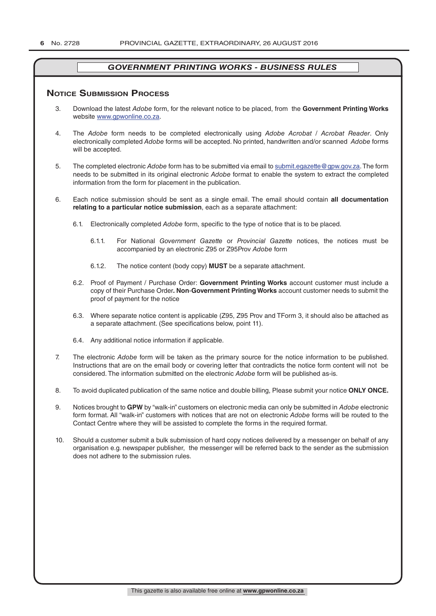# **NOTICE SUBMISSION PROCESS**

- 3. Download the latest *Adobe* form, for the relevant notice to be placed, from the **Government Printing Works** website www.gpwonline.co.za.
- 4. The *Adobe* form needs to be completed electronically using *Adobe Acrobat* / *Acrobat Reader*. Only electronically completed *Adobe* forms will be accepted. No printed, handwritten and/or scanned *Adobe* forms will be accepted.
- 5. The completed electronic *Adobe* form has to be submitted via email to submit.egazette@gpw.gov.za. The form needs to be submitted in its original electronic *Adobe* format to enable the system to extract the completed information from the form for placement in the publication.
- 6. Each notice submission should be sent as a single email. The email should contain **all documentation relating to a particular notice submission**, each as a separate attachment:
	- 6.1. Electronically completed *Adobe* form, specific to the type of notice that is to be placed.
		- 6.1.1. For National *Government Gazette* or *Provincial Gazette* notices, the notices must be accompanied by an electronic Z95 or Z95Prov *Adobe* form
		- 6.1.2. The notice content (body copy) **MUST** be a separate attachment.
	- 6.2. Proof of Payment / Purchase Order: **Government Printing Works** account customer must include a copy of their Purchase Order*.* **Non**-**Government Printing Works** account customer needs to submit the proof of payment for the notice
	- 6.3. Where separate notice content is applicable (Z95, Z95 Prov and TForm 3, it should also be attached as a separate attachment. (See specifications below, point 11).
	- 6.4. Any additional notice information if applicable.
- 7. The electronic *Adobe* form will be taken as the primary source for the notice information to be published. Instructions that are on the email body or covering letter that contradicts the notice form content will not be considered. The information submitted on the electronic *Adobe* form will be published as-is.
- 8. To avoid duplicated publication of the same notice and double billing, Please submit your notice **ONLY ONCE.**
- 9. Notices brought to **GPW** by "walk-in" customers on electronic media can only be submitted in *Adobe* electronic form format. All "walk-in" customers with notices that are not on electronic *Adobe* forms will be routed to the Contact Centre where they will be assisted to complete the forms in the required format.
- 10. Should a customer submit a bulk submission of hard copy notices delivered by a messenger on behalf of any organisation e.g. newspaper publisher, the messenger will be referred back to the sender as the submission does not adhere to the submission rules.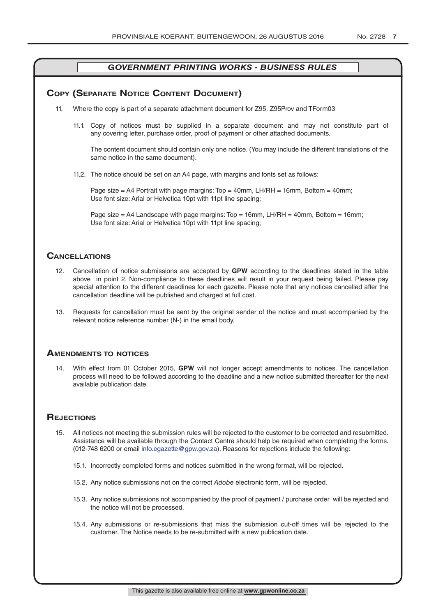# **COPY (SEPARATE NOTICE CONTENT DOCUMENT)**

- 11. Where the copy is part of a separate attachment document for Z95, Z95Prov and TForm03
	- 11.1. Copy of notices must be supplied in a separate document and may not constitute part of any covering letter, purchase order, proof of payment or other attached documents.

The content document should contain only one notice. (You may include the different translations of the same notice in the same document).

11.2. The notice should be set on an A4 page, with margins and fonts set as follows:

Page size  $=$  A4 Portrait with page margins: Top  $=$  40mm, LH/RH  $=$  16mm, Bottom  $=$  40mm; Use font size: Arial or Helvetica 10pt with 11pt line spacing;

Page size = A4 Landscape with page margins: Top = 16mm, LH/RH = 40mm, Bottom = 16mm; Use font size: Arial or Helvetica 10pt with 11pt line spacing;

# **CAnCellATions**

- 12. Cancellation of notice submissions are accepted by **GPW** according to the deadlines stated in the table above in point 2. Non-compliance to these deadlines will result in your request being failed. Please pay special attention to the different deadlines for each gazette. Please note that any notices cancelled after the cancellation deadline will be published and charged at full cost.
- 13. Requests for cancellation must be sent by the original sender of the notice and must accompanied by the relevant notice reference number (N-) in the email body.

### **AmenDmenTs To noTiCes**

14. With effect from 01 October 2015, **GPW** will not longer accept amendments to notices. The cancellation process will need to be followed according to the deadline and a new notice submitted thereafter for the next available publication date.

### **REJECTIONS**

- 15. All notices not meeting the submission rules will be rejected to the customer to be corrected and resubmitted. Assistance will be available through the Contact Centre should help be required when completing the forms. (012-748 6200 or email info.egazette@gpw.gov.za). Reasons for rejections include the following:
	- 15.1. Incorrectly completed forms and notices submitted in the wrong format, will be rejected.
	- 15.2. Any notice submissions not on the correct *Adobe* electronic form, will be rejected.
	- 15.3. Any notice submissions not accompanied by the proof of payment / purchase order will be rejected and the notice will not be processed.
	- 15.4. Any submissions or re-submissions that miss the submission cut-off times will be rejected to the customer. The Notice needs to be re-submitted with a new publication date.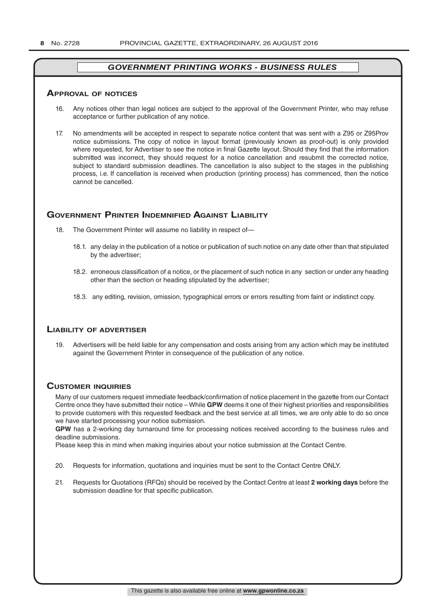#### **ApprovAl of noTiCes**

- 16. Any notices other than legal notices are subject to the approval of the Government Printer, who may refuse acceptance or further publication of any notice.
- 17. No amendments will be accepted in respect to separate notice content that was sent with a Z95 or Z95Prov notice submissions. The copy of notice in layout format (previously known as proof-out) is only provided where requested, for Advertiser to see the notice in final Gazette layout. Should they find that the information submitted was incorrect, they should request for a notice cancellation and resubmit the corrected notice, subject to standard submission deadlines. The cancellation is also subject to the stages in the publishing process, i.e. If cancellation is received when production (printing process) has commenced, then the notice cannot be cancelled.

# **GOVERNMENT PRINTER INDEMNIFIED AGAINST LIABILITY**

- 18. The Government Printer will assume no liability in respect of-
	- 18.1. any delay in the publication of a notice or publication of such notice on any date other than that stipulated by the advertiser;
	- 18.2. erroneous classification of a notice, or the placement of such notice in any section or under any heading other than the section or heading stipulated by the advertiser;
	- 18.3. any editing, revision, omission, typographical errors or errors resulting from faint or indistinct copy.

# **liAbiliTy of ADverTiser**

19. Advertisers will be held liable for any compensation and costs arising from any action which may be instituted against the Government Printer in consequence of the publication of any notice.

# **CusTomer inquiries**

Many of our customers request immediate feedback/confirmation of notice placement in the gazette from our Contact Centre once they have submitted their notice – While **GPW** deems it one of their highest priorities and responsibilities to provide customers with this requested feedback and the best service at all times, we are only able to do so once we have started processing your notice submission.

**GPW** has a 2-working day turnaround time for processing notices received according to the business rules and deadline submissions.

Please keep this in mind when making inquiries about your notice submission at the Contact Centre.

- 20. Requests for information, quotations and inquiries must be sent to the Contact Centre ONLY.
- 21. Requests for Quotations (RFQs) should be received by the Contact Centre at least **2 working days** before the submission deadline for that specific publication.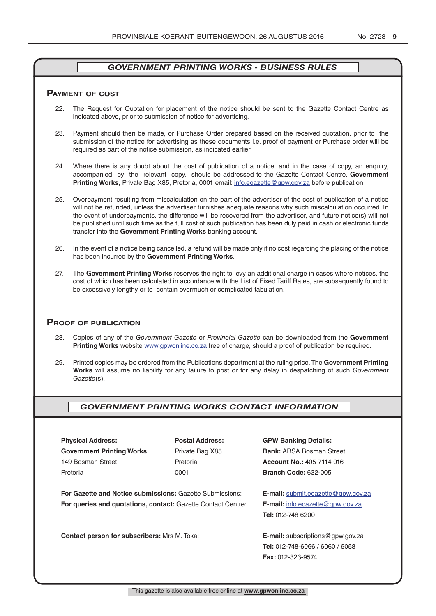# **pAymenT of CosT**

- 22. The Request for Quotation for placement of the notice should be sent to the Gazette Contact Centre as indicated above, prior to submission of notice for advertising.
- 23. Payment should then be made, or Purchase Order prepared based on the received quotation, prior to the submission of the notice for advertising as these documents i.e. proof of payment or Purchase order will be required as part of the notice submission, as indicated earlier.
- 24. Where there is any doubt about the cost of publication of a notice, and in the case of copy, an enquiry, accompanied by the relevant copy, should be addressed to the Gazette Contact Centre, **Government Printing Works**, Private Bag X85, Pretoria, 0001 email: info.egazette@gpw.gov.za before publication.
- 25. Overpayment resulting from miscalculation on the part of the advertiser of the cost of publication of a notice will not be refunded, unless the advertiser furnishes adequate reasons why such miscalculation occurred. In the event of underpayments, the difference will be recovered from the advertiser, and future notice(s) will not be published until such time as the full cost of such publication has been duly paid in cash or electronic funds transfer into the **Government Printing Works** banking account.
- 26. In the event of a notice being cancelled, a refund will be made only if no cost regarding the placing of the notice has been incurred by the **Government Printing Works**.
- 27. The **Government Printing Works** reserves the right to levy an additional charge in cases where notices, the cost of which has been calculated in accordance with the List of Fixed Tariff Rates, are subsequently found to be excessively lengthy or to contain overmuch or complicated tabulation.

# **proof of publiCATion**

- 28. Copies of any of the *Government Gazette* or *Provincial Gazette* can be downloaded from the **Government Printing Works** website www.gpwonline.co.za free of charge, should a proof of publication be required.
- 29. Printed copies may be ordered from the Publications department at the ruling price. The **Government Printing Works** will assume no liability for any failure to post or for any delay in despatching of such *Government Gazette*(s).

# *GOVERNMENT PRINTING WORKS CONTACT INFORMATION*

**Physical Address: Postal Address: GPW Banking Details: Government Printing Works** Private Bag X85 **Bank:** ABSA Bosman Street 149 Bosman Street Pretoria **Account No.:** 405 7114 016 Pretoria 0001 **Branch Code:** 632-005

**For Gazette and Notice submissions:** Gazette Submissions: **E-mail:** submit.egazette@gpw.gov.za **For queries and quotations, contact:** Gazette Contact Centre: **E-mail:** info.egazette@gpw.gov.za

**Contact person for subscribers:** Mrs M. Toka: **E-mail:** subscriptions@gpw.gov.za

**Tel:** 012-748 6200

**Tel:** 012-748-6066 / 6060 / 6058 **Fax:** 012-323-9574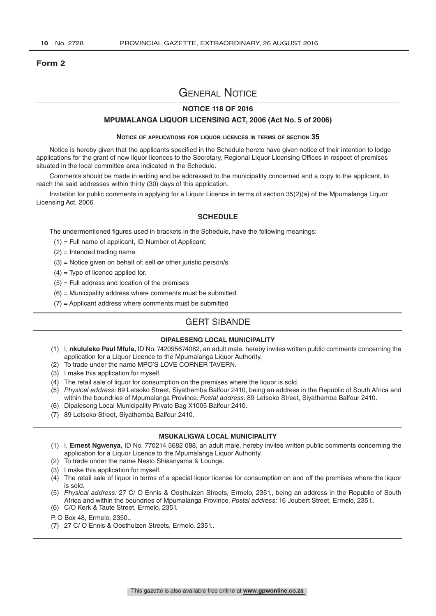#### **Form 2**

# General Notice

# **NOTICE 118 OF 2016**

#### **MPUMALANGA LIQUOR LICENSING ACT, 2006 (Act No. 5 of 2006)**

#### **Notice of applications for liquor licences in terms of section 35**

Notice is hereby given that the applicants specified in the Schedule hereto have given notice of their intention to lodge applications for the grant of new liquor licences to the Secretary, Regional Liquor Licensing Offices in respect of premises situated in the local committee area indicated in the Schedule.

Comments should be made in writing and be addressed to the municipality concerned and a copy to the applicant, to reach the said addresses within thirty (30) days of this application.

Invitation for public comments in applying for a Liquor Licence in terms of section 35(2)(a) of the Mpumalanga Liquor Licensing Act, 2006.

#### **SCHEDULE**

The undermentioned figures used in brackets in the Schedule, have the following meanings:

- (1) = Full name of applicant, ID Number of Applicant.
- (2) = Intended trading name.
- (3) = Notice given on behalf of: self *or* other juristic person/s.
- $(4)$  = Type of licence applied for.
- $(5)$  = Full address and location of the premises
- $(6)$  = Municipality address where comments must be submitted
- $(7)$  = Applicant address where comments must be submitted

# GERT SIBANDE

#### **DIPALESENG LOCAL MUNICIPALITY**

- (1) I, **nkululeko Paul Mfula,** ID No. 742095674082, an adult male, hereby invites written public comments concerning the application for a Liquor Licence to the Mpumalanga Liquor Authority.
- (2) To trade under the name MPO'S LOVE CORNER TAVERN.
- (3) I make this application for myself.
- (4) The retail sale of liquor for consumption on the premises where the liquor is sold.
- (5) *Physical address:* 89 Letsoko Street, Siyathemba Balfour 2410, being an address in the Republic of South Africa and within the boundries of Mpumalanga Province. *Postal address:* 89 Letsoko Street, Siyathemba Balfour 2410.
- (6) Dipaleseng Local Municipality Private Bag X1005 Balfour 2410.
- (7) 89 Letsoko Street, Siyathemba Balfour 2410.

#### **MSUKALIGWA LOCAL MUNICIPALITY**

- (1) I, **Ernest Ngwenya,** ID No. 770214 5682 088, an adult male, hereby invites written public comments concerning the application for a Liquor Licence to the Mpumalanga Liquor Authority.
- (2) To trade under the name Nesto Shisanyama & Lounge.
- (3) I make this application for myself.
- (4) The retail sale of liquor in terms of a special liquor license for consumption on and off the premises where the liquor is sold.
- (5) *Physical address:* 27 C/ O Ennis & Oosthuizen Streets, Ermelo, 2351., being an address in the Republic of South Africa and within the boundries of Mpumalanga Province. *Postal address:* 16 Joubert Street, Ermelo, 2351..
- (6) C/O Kerk & Taute Street, Ermelo, 2351.
- P. O Box 48, Ermelo, 2350..
- (7) 27 C/ O Ennis & Oosthuizen Streets, Ermelo, 2351..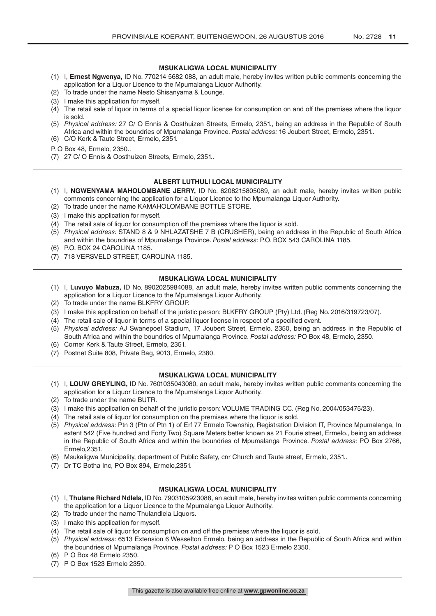#### **MSUKALIGWA LOCAL MUNICIPALITY**

- (1) I, **Ernest Ngwenya,** ID No. 770214 5682 088, an adult male, hereby invites written public comments concerning the application for a Liquor Licence to the Mpumalanga Liquor Authority.
- (2) To trade under the name Nesto Shisanyama & Lounge.
- (3) I make this application for myself.
- (4) The retail sale of liquor in terms of a special liquor license for consumption on and off the premises where the liquor is sold.
- (5) *Physical address:* 27 C/ O Ennis & Oosthuizen Streets, Ermelo, 2351., being an address in the Republic of South Africa and within the boundries of Mpumalanga Province. *Postal address:* 16 Joubert Street, Ermelo, 2351.. (6) C/O Kerk & Taute Street, Ermelo, 2351.

P. O Box 48, Ermelo, 2350..

(7) 27 C/ O Ennis & Oosthuizen Streets, Ermelo, 2351..

#### **ALBERT LUTHULI LOCAL MUNICIPALITY**

- (1) I, **NGWENYAMA MAHOLOMBANE JERRY,** ID No. 6208215805089, an adult male, hereby invites written public comments concerning the application for a Liquor Licence to the Mpumalanga Liquor Authority.
- (2) To trade under the name KAMAHOLOMBANE BOTTLE STORE.
- (3) I make this application for myself.
- (4) The retail sale of liquor for consumption off the premises where the liquor is sold.
- (5) *Physical address:* STAND 8 & 9 NHLAZATSHE 7 B (CRUSHER), being an address in the Republic of South Africa and within the boundries of Mpumalanga Province. *Postal address:* P.O. BOX 543 CAROLINA 1185.
- (6) P.O. BOX 24 CAROLINA 1185.
- (7) 718 VERSVELD STREET, CAROLINA 1185.

#### **MSUKALIGWA LOCAL MUNICIPALITY**

- (1) I, **Luvuyo Mabuza,** ID No. 8902025984088, an adult male, hereby invites written public comments concerning the application for a Liquor Licence to the Mpumalanga Liquor Authority.
- (2) To trade under the name BLKFRY GROUP.
- (3) I make this application on behalf of the juristic person: BLKFRY GROUP (Pty) Ltd. (Reg No. 2016/319723/07).
- (4) The retail sale of liquor in terms of a special liquor license in respect of a specified event.
- (5) *Physical address:* AJ Swanepoel Stadium, 17 Joubert Street, Ermelo, 2350, being an address in the Republic of South Africa and within the boundries of Mpumalanga Province. *Postal address:* PO Box 48, Ermelo, 2350. (6) Corner Kerk & Taute Street, Ermelo, 2351.
- (7) Postnet Suite 808, Private Bag, 9013, Ermelo, 2380.

#### **MSUKALIGWA LOCAL MUNICIPALITY**

- (1) I, **LOUW GREYLING,** ID No. 7601035043080, an adult male, hereby invites written public comments concerning the application for a Liquor Licence to the Mpumalanga Liquor Authority.
- (2) To trade under the name BUTR.
- (3) I make this application on behalf of the juristic person: VOLUME TRADING CC. (Reg No. 2004/053475/23).
- (4) The retail sale of liquor for consumption on the premises where the liquor is sold.
- (5) *Physical address:* Ptn 3 (Ptn of Ptn 1) of Erf 77 Ermelo Township, Registration Division IT, Province Mpumalanga, In extent 542 (Five hundred and Forty Two) Square Meters better known as 21 Fourie street, Ermelo., being an address in the Republic of South Africa and within the boundries of Mpumalanga Province. *Postal address:* PO Box 2766, Ermelo,2351.
- (6) Msukaligwa Municipality, department of Public Safety, cnr Church and Taute street, Ermelo, 2351..
- (7) Dr TC Botha Inc, PO Box 894, Ermelo,2351.

#### **MSUKALIGWA LOCAL MUNICIPALITY**

- (1) I, **Thulane Richard Ndlela,** ID No. 7903105923088, an adult male, hereby invites written public comments concerning the application for a Liquor Licence to the Mpumalanga Liquor Authority.
- (2) To trade under the name Thulandlela Liquors.
- (3) I make this application for myself.
- (4) The retail sale of liquor for consumption on and off the premises where the liquor is sold.
- (5) *Physical address:* 6513 Extension 6 Wesselton Ermelo, being an address in the Republic of South Africa and within the boundries of Mpumalanga Province. *Postal address:* P O Box 1523 Ermelo 2350.
- (6) P O Box 48 Ermelo 2350.
- (7) P O Box 1523 Ermelo 2350.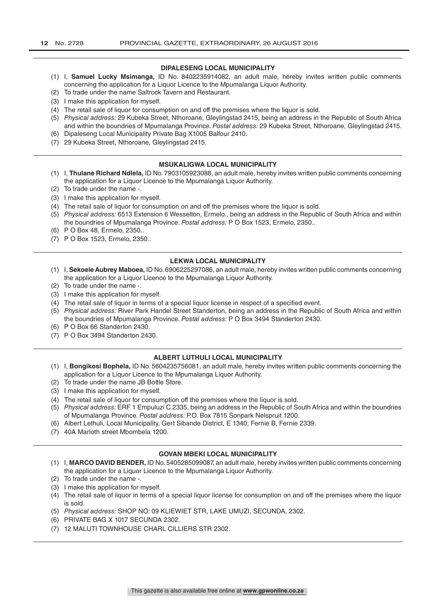#### **DIPALESENG LOCAL MUNICIPALITY**

- (1) I, **Samuel Lucky Msimanga,** ID No. 8402235914082, an adult male, hereby invites written public comments concerning the application for a Liquor Licence to the Mpumalanga Liquor Authority.
- (2) To trade under the name Saltrock Tavern and Restaurant.
- (3) I make this application for myself.
- (4) The retail sale of liquor for consumption on and off the premises where the liquor is sold.
- (5) *Physical address:* 29 Kubeka Street, Nthoroane, Gleylingstad 2415, being an address in the Republic of South Africa and within the boundries of Mpumalanga Province. *Postal address:* 29 Kubeka Street, Nthoroane, Gleylingstad 2415.
- (6) Dipaleseng Local Municipality Private Bag X1005 Balfour 2410.
- (7) 29 Kubeka Street, Nthoroane, Gleylingstad 2415.

#### **MSUKALIGWA LOCAL MUNICIPALITY**

- (1) I, **Thulane Richard Ndlela,** ID No. 7903105923088, an adult male, hereby invites written public comments concerning the application for a Liquor Licence to the Mpumalanga Liquor Authority.
- (2) To trade under the name -.
- (3) I make this application for myself.
- (4) The retail sale of liquor for consumption on and off the premises where the liquor is sold.
- (5) *Physical address:* 6513 Extension 6 Wesselton, Ermelo., being an address in the Republic of South Africa and within the boundries of Mpumalanga Province. *Postal address:* P O Box 1523, Ermelo, 2350..
- (6) P O Box 48, Ermelo, 2350..
- (7) P O Box 1523, Ermelo, 2350..

#### **LEKWA LOCAL MUNICIPALITY**

- (1) I, **Sekoele Aubrey Maboea,** ID No. 6906225297086, an adult male, hereby invites written public comments concerning the application for a Liquor Licence to the Mpumalanga Liquor Authority.
- (2) To trade under the name -.
- (3) I make this application for myself.
- (4) The retail sale of liquor in terms of a special liquor license in respect of a specified event.
- (5) *Physical address:* River Park Handel Street Standerton, being an address in the Republic of South Africa and within the boundries of Mpumalanga Province. *Postal address:* P O Box 3494 Standerton 2430.
- (6) P O Box 66 Standerton 2430.
- (7) P O Box 3494 Standerton 2430.

#### **ALBERT LUTHULI LOCAL MUNICIPALITY**

- (1) I, **Bongikosi Bophela,** ID No. 5604235756081, an adult male, hereby invites written public comments concerning the application for a Liquor Licence to the Mpumalanga Liquor Authority.
- (2) To trade under the name JB Bottle Store.
- (3) I make this application for myself.
- (4) The retail sale of liquor for consumption off the premises where the liquor is sold.
- (5) *Physical address:* ERF 1 Empuluzi C 2335, being an address in the Republic of South Africa and within the boundries of Mpumalanga Province. *Postal address:* P.O. Box 7815 Sonpark Nelspruit 1200.
- (6) Albert Lethuli, Local Municipality, Gert Sibande District, E 1340, Fernie B, Fernie 2339.
- (7) 40A Marloth street Mbombela 1200.

#### **GOVAN MBEKI LOCAL MUNICIPALITY**

- (1) I, **MARCO DAVID BENDER,** ID No. 5405285099087, an adult male, hereby invites written public comments concerning the application for a Liquor Licence to the Mpumalanga Liquor Authority.
- (2) To trade under the name -.
- (3) I make this application for myself.
- (4) The retail sale of liquor in terms of a special liquor license for consumption on and off the premises where the liquor is sold.
- (5) *Physical address:* SHOP NO: 09 KLIEWIET STR, LAKE UMUZI, SECUNDA, 2302.
- (6) PRIVATE BAG X 1017 SECUNDA 2302.
- (7) 12 MALUTI TOWNHOUSE CHARL CILLIERS STR 2302.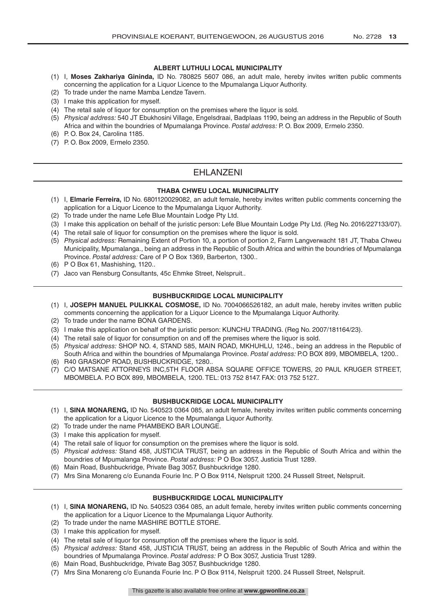### **ALBERT LUTHULI LOCAL MUNICIPALITY**

- (1) I, **Moses Zakhariya Gininda,** ID No. 780825 5607 086, an adult male, hereby invites written public comments concerning the application for a Liquor Licence to the Mpumalanga Liquor Authority.
- (2) To trade under the name Mamba Lendze Tavern.
- (3) I make this application for myself.
- (4) The retail sale of liquor for consumption on the premises where the liquor is sold.
- (5) *Physical address:* 540 JT Ebukhosini Village, Engelsdraai, Badplaas 1190, being an address in the Republic of South Africa and within the boundries of Mpumalanga Province. *Postal address:* P. O. Box 2009, Ermelo 2350.
- (6) P. O. Box 24, Carolina 1185.
- (7) P. O. Box 2009, Ermelo 2350.

# EHLANZENI

# **THABA CHWEU LOCAL MUNICIPALITY**

- (1) I, **Elmarie Ferreira,** ID No. 6801120029082, an adult female, hereby invites written public comments concerning the application for a Liquor Licence to the Mpumalanga Liquor Authority.
- (2) To trade under the name Lefe Blue Mountain Lodge Pty Ltd.
- (3) I make this application on behalf of the juristic person: Lefe Blue Mountain Lodge Pty Ltd. (Reg No. 2016/227133/07).
- (4) The retail sale of liquor for consumption on the premises where the liquor is sold.
- (5) *Physical address:* Remaining Extent of Portion 10, a portion of portion 2, Farm Langverwacht 181 JT, Thaba Chweu Municipality, Mpumalanga., being an address in the Republic of South Africa and within the boundries of Mpumalanga Province. *Postal address:* Care of P O Box 1369, Barberton, 1300..
- (6) P O Box 61, Mashishing, 1120..
- (7) Jaco van Rensburg Consultants, 45c Ehmke Street, Nelspruit..

# **BUSHBUCKRIDGE LOCAL MUNICIPALITY**

- (1) I, **JOSEPH MANUEL PULIKKAL COSMOSE,** ID No. 7004066526182, an adult male, hereby invites written public comments concerning the application for a Liquor Licence to the Mpumalanga Liquor Authority.
- (2) To trade under the name BONA GARDENS.
- (3) I make this application on behalf of the juristic person: KUNCHU TRADING. (Reg No. 2007/181164/23).
- (4) The retail sale of liquor for consumption on and off the premises where the liquor is sold.
- (5) *Physical address:* SHOP NO. 4, STAND 585, MAIN ROAD, MKHUHLU, 1246., being an address in the Republic of South Africa and within the boundries of Mpumalanga Province. *Postal address:* P.O BOX 899, MBOMBELA, 1200..
- (6) R40 GRASKOP ROAD, BUSHBUCKRIDGE, 1280..
- (7) C/O MATSANE ATTORNEYS INC,5TH FLOOR ABSA SQUARE OFFICE TOWERS, 20 PAUL KRUGER STREET, MBOMBELA. P.O BOX 899, MBOMBELA, 1200. TEL: 013 752 8147. FAX: 013 752 5127..

### **BUSHBUCKRIDGE LOCAL MUNICIPALITY**

- (1) I, **SINA MONARENG,** ID No. 540523 0364 085, an adult female, hereby invites written public comments concerning the application for a Liquor Licence to the Mpumalanga Liquor Authority.
- (2) To trade under the name PHAMBEKO BAR LOUNGE.
- (3) I make this application for myself.
- (4) The retail sale of liquor for consumption on the premises where the liquor is sold.
- (5) *Physical address:* Stand 458, JUSTICIA TRUST, being an address in the Republic of South Africa and within the boundries of Mpumalanga Province. *Postal address:* P O Box 3057, Justicia Trust 1289.
- (6) Main Road, Bushbuckridge, Private Bag 3057, Bushbuckridge 1280.
- (7) Mrs Sina Monareng c/o Eunanda Fourie Inc. P O Box 9114, Nelspruit 1200. 24 Russell Street, Nelspruit.

# **BUSHBUCKRIDGE LOCAL MUNICIPALITY**

- (1) I, **SINA MONARENG,** ID No. 540523 0364 085, an adult female, hereby invites written public comments concerning the application for a Liquor Licence to the Mpumalanga Liquor Authority.
- (2) To trade under the name MASHIRE BOTTLE STORE.
- (3) I make this application for myself.
- (4) The retail sale of liquor for consumption off the premises where the liquor is sold.
- (5) *Physical address:* Stand 458, JUSTICIA TRUST, being an address in the Republic of South Africa and within the boundries of Mpumalanga Province. *Postal address:* P O Box 3057, Justicia Trust 1289.
- (6) Main Road, Bushbuckridge, Private Bag 3057, Bushbuckridge 1280.
- (7) Mrs Sina Monareng c/o Eunanda Fourie Inc. P O Box 9114, Nelspruit 1200. 24 Russell Street, Nelspruit.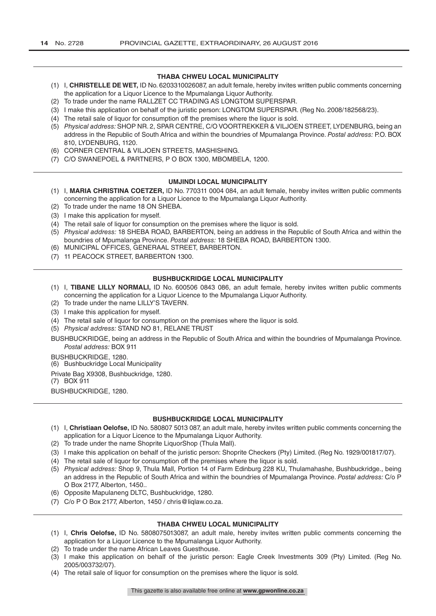#### **THABA CHWEU LOCAL MUNICIPALITY**

- (1) I, **CHRISTELLE DE WET,** ID No. 6203310026087, an adult female, hereby invites written public comments concerning the application for a Liquor Licence to the Mpumalanga Liquor Authority.
- (2) To trade under the name RALLZET CC TRADING AS LONGTOM SUPERSPAR.
- (3) I make this application on behalf of the juristic person: LONGTOM SUPERSPAR. (Reg No. 2008/182568/23).
- (4) The retail sale of liquor for consumption off the premises where the liquor is sold.
- (5) *Physical address:* SHOP NR. 2, SPAR CENTRE, C/O VOORTREKKER & VILJOEN STREET, LYDENBURG, being an address in the Republic of South Africa and within the boundries of Mpumalanga Province. *Postal address:* P.O. BOX 810, LYDENBURG, 1120.
- (6) CORNER CENTRAL & VILJOEN STREETS, MASHISHING.
- (7) C/O SWANEPOEL & PARTNERS, P O BOX 1300, MBOMBELA, 1200.

#### **UMJINDI LOCAL MUNICIPALITY**

- (1) I, **MARIA CHRISTINA COETZER,** ID No. 770311 0004 084, an adult female, hereby invites written public comments concerning the application for a Liquor Licence to the Mpumalanga Liquor Authority.
- (2) To trade under the name 18 ON SHEBA.
- (3) I make this application for myself.
- (4) The retail sale of liquor for consumption on the premises where the liquor is sold.
- (5) *Physical address:* 18 SHEBA ROAD, BARBERTON, being an address in the Republic of South Africa and within the boundries of Mpumalanga Province. *Postal address:* 18 SHEBA ROAD, BARBERTON 1300.
- (6) MUNICIPAL OFFICES, GENERAAL STREET, BARBERTON.
- (7) 11 PEACOCK STREET, BARBERTON 1300.

#### **BUSHBUCKRIDGE LOCAL MUNICIPALITY**

- (1) I, **TIBANE LILLY NORMALI,** ID No. 600506 0843 086, an adult female, hereby invites written public comments concerning the application for a Liquor Licence to the Mpumalanga Liquor Authority.
- (2) To trade under the name LILLY'S TAVERN.
- (3) I make this application for myself.
- (4) The retail sale of liquor for consumption on the premises where the liquor is sold.
- (5) *Physical address:* STAND NO 81, RELANE TRUST

BUSHBUCKRIDGE, being an address in the Republic of South Africa and within the boundries of Mpumalanga Province. *Postal address:* BOX 911

BUSHBUCKRIDGE, 1280.

(6) Bushbuckridge Local Municipality

Private Bag X9308, Bushbuckridge, 1280.

(7) BOX 911

BUSHBUCKRIDGE, 1280.

#### **BUSHBUCKRIDGE LOCAL MUNICIPALITY**

- (1) I, **Christiaan Oelofse,** ID No. 580807 5013 087, an adult male, hereby invites written public comments concerning the application for a Liquor Licence to the Mpumalanga Liquor Authority.
- (2) To trade under the name Shoprite LiquorShop (Thula Mall).
- (3) I make this application on behalf of the juristic person: Shoprite Checkers (Pty) Limited. (Reg No. 1929/001817/07).
- (4) The retail sale of liquor for consumption off the premises where the liquor is sold.
- (5) *Physical address:* Shop 9, Thula Mall, Portion 14 of Farm Edinburg 228 KU, Thulamahashe, Bushbuckridge., being an address in the Republic of South Africa and within the boundries of Mpumalanga Province. *Postal address:* C/o P O Box 2177, Alberton, 1450..
- (6) Opposite Mapulaneng DLTC, Bushbuckridge, 1280.
- (7) C/o P O Box 2177, Alberton, 1450 / chris@liqlaw.co.za.

### **THABA CHWEU LOCAL MUNICIPALITY**

- (1) I, **Chris Oelofse,** ID No. 5808075013087, an adult male, hereby invites written public comments concerning the application for a Liquor Licence to the Mpumalanga Liquor Authority.
- (2) To trade under the name African Leaves Guesthouse.
- (3) I make this application on behalf of the juristic person: Eagle Creek Investments 309 (Pty) Limited. (Reg No. 2005/003732/07).
- (4) The retail sale of liquor for consumption on the premises where the liquor is sold.

This gazette is also available free online at **www.gpwonline.co.za**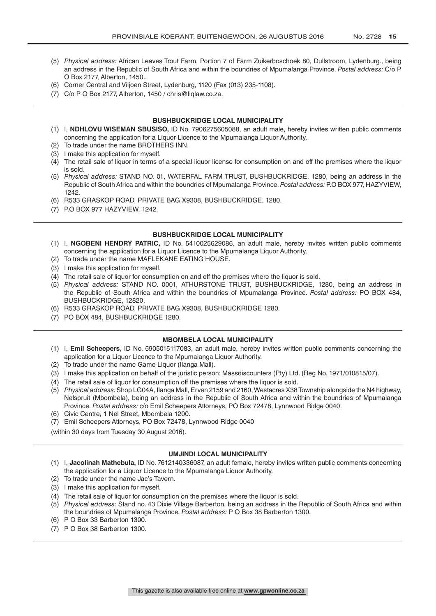- (5) *Physical address:* African Leaves Trout Farm, Portion 7 of Farm Zuikerboschoek 80, Dullstroom, Lydenburg., being an address in the Republic of South Africa and within the boundries of Mpumalanga Province. *Postal address:* C/o P O Box 2177, Alberton, 1450..
- (6) Corner Central and Viljoen Street, Lydenburg, 1120 (Fax (013) 235-1108).
- (7) C/o P O Box 2177, Alberton, 1450 / chris@liqlaw.co.za.

#### **BUSHBUCKRIDGE LOCAL MUNICIPALITY**

- (1) I, **NDHLOVU WISEMAN SBUSISO,** ID No. 7906275605088, an adult male, hereby invites written public comments concerning the application for a Liquor Licence to the Mpumalanga Liquor Authority.
- (2) To trade under the name BROTHERS INN.
- (3) I make this application for myself.
- (4) The retail sale of liquor in terms of a special liquor license for consumption on and off the premises where the liquor is sold.
- (5) *Physical address:* STAND NO. 01, WATERFAL FARM TRUST, BUSHBUCKRIDGE, 1280, being an address in the Republic of South Africa and within the boundries of Mpumalanga Province. *Postal address:* P.O BOX 977, HAZYVIEW, 1242.
- (6) R533 GRASKOP ROAD, PRIVATE BAG X9308, BUSHBUCKRIDGE, 1280.
- (7) P.O BOX 977 HAZYVIEW, 1242.

#### **BUSHBUCKRIDGE LOCAL MUNICIPALITY**

- (1) I, **NGOBENI HENDRY PATRIC,** ID No. 5410025629086, an adult male, hereby invites written public comments concerning the application for a Liquor Licence to the Mpumalanga Liquor Authority.
- (2) To trade under the name MAFLEKANE EATING HOUSE.
- (3) I make this application for myself.
- (4) The retail sale of liquor for consumption on and off the premises where the liquor is sold.
- (5) *Physical address:* STAND NO. 0001, ATHURSTONE TRUST, BUSHBUCKRIDGE, 1280, being an address in the Republic of South Africa and within the boundries of Mpumalanga Province. *Postal address:* PO BOX 484, BUSHBUCKRIDGE, 12820.
- (6) R533 GRASKOP ROAD, PRIVATE BAG X9308, BUSHBUCKRIDGE 1280.
- (7) PO BOX 484, BUSHBUCKRIDGE 1280.

#### **MBOMBELA LOCAL MUNICIPALITY**

- (1) I, **Emil Scheepers,** ID No. 5905015117083, an adult male, hereby invites written public comments concerning the application for a Liquor Licence to the Mpumalanga Liquor Authority.
- (2) To trade under the name Game Liquor (Ilanga Mall).
- (3) I make this application on behalf of the juristic person: Massdiscounters (Pty) Ltd. (Reg No. 1971/010815/07).
- (4) The retail sale of liquor for consumption off the premises where the liquor is sold.
- (5) *Physical address:* Shop LG04A, Ilanga Mall, Erven 2159 and 2160, Westacres X38 Township alongside the N4 highway, Nelspruit (Mbombela), being an address in the Republic of South Africa and within the boundries of Mpumalanga Province. *Postal address:* c/o Emil Scheepers Attorneys, PO Box 72478, Lynnwood Ridge 0040.
- (6) Civic Centre, 1 Nel Street, Mbombela 1200.
- (7) Emil Scheepers Attorneys, PO Box 72478, Lynnwood Ridge 0040

(within 30 days from Tuesday 30 August 2016).

### **UMJINDI LOCAL MUNICIPALITY**

- (1) I, **Jacolinah Mathebula,** ID No. 7612140336087, an adult female, hereby invites written public comments concerning the application for a Liquor Licence to the Mpumalanga Liquor Authority.
- (2) To trade under the name Jac's Tavern.
- (3) I make this application for myself.
- (4) The retail sale of liquor for consumption on the premises where the liquor is sold.
- (5) *Physical address:* Stand no. 43 Dixie Village Barberton, being an address in the Republic of South Africa and within the boundries of Mpumalanga Province. *Postal address:* P O Box 38 Barberton 1300.
- (6) P O Box 33 Barberton 1300.
- (7) P O Box 38 Barberton 1300.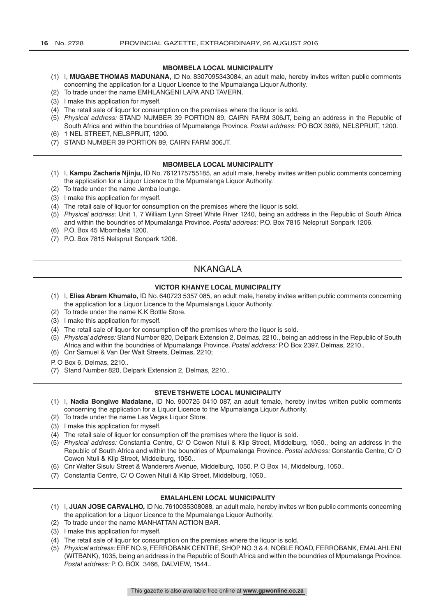#### **MBOMBELA LOCAL MUNICIPALITY**

- (1) I, **MUGABE THOMAS MADUNANA,** ID No. 8307095343084, an adult male, hereby invites written public comments concerning the application for a Liquor Licence to the Mpumalanga Liquor Authority.
- (2) To trade under the name EMHLANGENI LAPA AND TAVERN.
- (3) I make this application for myself.
- (4) The retail sale of liquor for consumption on the premises where the liquor is sold.
- (5) *Physical address:* STAND NUMBER 39 PORTION 89, CAIRN FARM 306JT, being an address in the Republic of South Africa and within the boundries of Mpumalanga Province. *Postal address:* PO BOX 3989, NELSPRUIT, 1200.
- (6) 1 NEL STREET, NELSPRUIT, 1200.
- (7) STAND NUMBER 39 PORTION 89, CAIRN FARM 306JT.

#### **MBOMBELA LOCAL MUNICIPALITY**

- (1) I, **Kampu Zacharia Njinju,** ID No. 7612175755185, an adult male, hereby invites written public comments concerning the application for a Liquor Licence to the Mpumalanga Liquor Authority.
- (2) To trade under the name Jamba lounge.
- (3) I make this application for myself.
- (4) The retail sale of liquor for consumption on the premises where the liquor is sold.
- (5) *Physical address:* Unit 1, 7 William Lynn Street White River 1240, being an address in the Republic of South Africa and within the boundries of Mpumalanga Province. *Postal address:* P.O. Box 7815 Nelspruit Sonpark 1206.
- (6) P.O. Box 45 Mbombela 1200.
- (7) P.O. Box 7815 Nelspruit Sonpark 1206.

# NKANGALA

#### **VICTOR KHANYE LOCAL MUNICIPALITY**

- (1) I, **Elias Abram Khumalo,** ID No. 640723 5357 085, an adult male, hereby invites written public comments concerning the application for a Liquor Licence to the Mpumalanga Liquor Authority.
- (2) To trade under the name K.K Bottle Store.
- (3) I make this application for myself.
- (4) The retail sale of liquor for consumption off the premises where the liquor is sold.
- (5) *Physical address:* Stand Number 820, Delpark Extension 2, Delmas, 2210., being an address in the Republic of South Africa and within the boundries of Mpumalanga Province. *Postal address:* P.O Box 2397, Delmas, 2210..
- (6) Cnr Samuel & Van Der Walt Streets, Delmas, 2210;

P. O Box 6, Delmas, 2210..

(7) Stand Number 820, Delpark Extension 2, Delmas, 2210..

#### **STEVE TSHWETE LOCAL MUNICIPALITY**

- (1) I, **Nadia Bongiwe Madalane,** ID No. 900725 0410 087, an adult female, hereby invites written public comments concerning the application for a Liquor Licence to the Mpumalanga Liquor Authority.
- (2) To trade under the name Las Vegas Liquor Store.
- (3) I make this application for myself.
- (4) The retail sale of liquor for consumption off the premises where the liquor is sold.
- (5) *Physical address:* Constantia Centre, C/ O Cowen Ntuli & Klip Street, Middelburg, 1050., being an address in the Republic of South Africa and within the boundries of Mpumalanga Province. *Postal address:* Constantia Centre, C/ O Cowen Ntuli & Klip Street, Middelburg, 1050..
- (6) Cnr Walter Sisulu Street & Wanderers Avenue, Middelburg, 1050. P. O Box 14, Middelburg, 1050..
- (7) Constantia Centre, C/ O Cowen Ntuli & Klip Street, Middelburg, 1050..

#### **EMALAHLENI LOCAL MUNICIPALITY**

- (1) I, **JUAN JOSE CARVALHO,** ID No. 7610035308088, an adult male, hereby invites written public comments concerning the application for a Liquor Licence to the Mpumalanga Liquor Authority.
- (2) To trade under the name MANHATTAN ACTION BAR.
- (3) I make this application for myself.
- (4) The retail sale of liquor for consumption on the premises where the liquor is sold.
- (5) *Physical address:* ERF NO. 9, FERROBANK CENTRE, SHOP NO. 3 & 4, NOBLE ROAD, FERROBANK, EMALAHLENI (WITBANK), 1035, being an address in the Republic of South Africa and within the boundries of Mpumalanga Province. *Postal address:* P. O. BOX 3466, DALVIEW, 1544..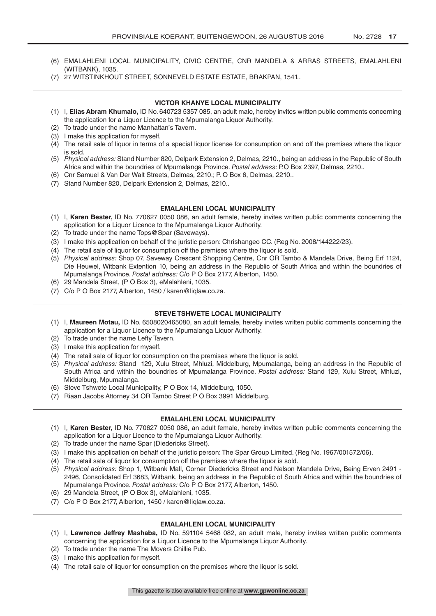- (6) EMALAHLENI LOCAL MUNICIPALITY, CIVIC CENTRE, CNR MANDELA & ARRAS STREETS, EMALAHLENI (WITBANK), 1035.
- (7) 27 WITSTINKHOUT STREET, SONNEVELD ESTATE ESTATE, BRAKPAN, 1541..

#### **VICTOR KHANYE LOCAL MUNICIPALITY**

- (1) I, **Elias Abram Khumalo,** ID No. 640723 5357 085, an adult male, hereby invites written public comments concerning the application for a Liquor Licence to the Mpumalanga Liquor Authority.
- (2) To trade under the name Manhattan's Tavern.
- (3) I make this application for myself.
- (4) The retail sale of liquor in terms of a special liquor license for consumption on and off the premises where the liquor is sold.
- (5) *Physical address:* Stand Number 820, Delpark Extension 2, Delmas, 2210., being an address in the Republic of South Africa and within the boundries of Mpumalanga Province. *Postal address:* P.O Box 2397, Delmas, 2210..
- (6) Cnr Samuel & Van Der Walt Streets, Delmas, 2210.; P. O Box 6, Delmas, 2210..
- (7) Stand Number 820, Delpark Extension 2, Delmas, 2210..

#### **EMALAHLENI LOCAL MUNICIPALITY**

- (1) I, **Karen Bester,** ID No. 770627 0050 086, an adult female, hereby invites written public comments concerning the application for a Liquor Licence to the Mpumalanga Liquor Authority.
- (2) To trade under the name Tops@Spar (Saveways).
- (3) I make this application on behalf of the juristic person: Chrishangeo CC. (Reg No. 2008/144222/23).
- (4) The retail sale of liquor for consumption off the premises where the liquor is sold.
- (5) *Physical address:* Shop 07, Saveway Crescent Shopping Centre, Cnr OR Tambo & Mandela Drive, Being Erf 1124, Die Heuwel, Witbank Extention 10, being an address in the Republic of South Africa and within the boundries of Mpumalanga Province. *Postal address:* C/o P O Box 2177, Alberton, 1450.
- (6) 29 Mandela Street, (P O Box 3), eMalahleni, 1035.
- (7) C/o P O Box 2177, Alberton, 1450 / karen@liqlaw.co.za.

### **STEVE TSHWETE LOCAL MUNICIPALITY**

- (1) I, **Maureen Motau,** ID No. 6508020465080, an adult female, hereby invites written public comments concerning the application for a Liquor Licence to the Mpumalanga Liquor Authority.
- (2) To trade under the name Lefty Tavern.
- (3) I make this application for myself.
- (4) The retail sale of liquor for consumption on the premises where the liquor is sold.
- (5) *Physical address:* Stand 129, Xulu Street, Mhluzi, Middelburg, Mpumalanga, being an address in the Republic of South Africa and within the boundries of Mpumalanga Province. *Postal address:* Stand 129, Xulu Street, Mhluzi, Middelburg, Mpumalanga.
- (6) Steve Tshwete Local Municipality, P O Box 14, Middelburg, 1050.
- (7) Riaan Jacobs Attorney 34 OR Tambo Street P O Box 3991 Middelburg.

#### **EMALAHLENI LOCAL MUNICIPALITY**

- (1) I, **Karen Bester,** ID No. 770627 0050 086, an adult female, hereby invites written public comments concerning the application for a Liquor Licence to the Mpumalanga Liquor Authority.
- (2) To trade under the name Spar (Diedericks Street).
- (3) I make this application on behalf of the juristic person: The Spar Group Limited. (Reg No. 1967/001572/06).
- (4) The retail sale of liquor for consumption off the premises where the liquor is sold.
- (5) *Physical address:* Shop 1, Witbank Mall, Corner Diedericks Street and Nelson Mandela Drive, Being Erven 2491 2496, Consolidated Erf 3683, Witbank, being an address in the Republic of South Africa and within the boundries of Mpumalanga Province. *Postal address:* C/o P O Box 2177, Alberton, 1450.
- (6) 29 Mandela Street, (P O Box 3), eMalahleni, 1035.
- (7) C/o P O Box 2177, Alberton, 1450 / karen@liqlaw.co.za.

### **EMALAHLENI LOCAL MUNICIPALITY**

- (1) I, **Lawrence Jeffrey Mashaba,** ID No. 591104 5468 082, an adult male, hereby invites written public comments concerning the application for a Liquor Licence to the Mpumalanga Liquor Authority.
- (2) To trade under the name The Movers Chillie Pub.
- (3) I make this application for myself.
- (4) The retail sale of liquor for consumption on the premises where the liquor is sold.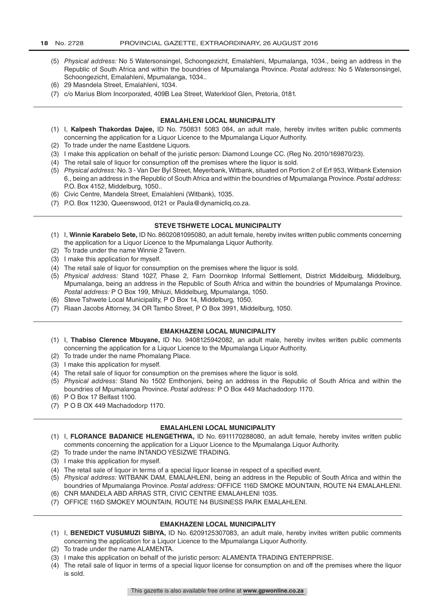- (5) *Physical address:* No 5 Watersonsingel, Schoongezicht, Emalahleni, Mpumalanga, 1034., being an address in the Republic of South Africa and within the boundries of Mpumalanga Province. *Postal address:* No 5 Watersonsingel, Schoongezicht, Emalahleni, Mpumalanga, 1034..
- (6) 29 Masndela Street, Emalahleni, 1034.
- (7) c/o Marius Blom Incorporated, 409B Lea Street, Waterkloof Glen, Pretoria, 0181.

#### **EMALAHLENI LOCAL MUNICIPALITY**

- (1) I, **Kalpesh Thakordas Dajee,** ID No. 750831 5083 084, an adult male, hereby invites written public comments concerning the application for a Liquor Licence to the Mpumalanga Liquor Authority.
- (2) To trade under the name Eastdene Liquors.
- (3) I make this application on behalf of the juristic person: Diamond Lounge CC. (Reg No. 2010/169870/23).
- (4) The retail sale of liquor for consumption off the premises where the liquor is sold.
- (5) *Physical address:* No. 3 Van Der Byl Street, Meyerbank, Witbank, situated on Portion 2 of Erf 953, Witbank Extension 6., being an address in the Republic of South Africa and within the boundries of Mpumalanga Province. *Postal address:*  P.O. Box 4152, Middelburg, 1050..
- (6) Civic Centre, Mandela Street, Emalahleni (Witbank), 1035.
- (7) P.O. Box 11230, Queenswood, 0121 or Paula@dynamicliq.co.za.

#### **STEVE TSHWETE LOCAL MUNICIPALITY**

- (1) I, **Winnie Karabelo Sete,** ID No. 8602081095080, an adult female, hereby invites written public comments concerning the application for a Liquor Licence to the Mpumalanga Liquor Authority.
- (2) To trade under the name Winnie 2 Tavern.
- (3) I make this application for myself.
- (4) The retail sale of liquor for consumption on the premises where the liquor is sold.
- (5) *Physical address:* Stand 1027, Phase 2, Farn Doornkop Informal Settlement, District Middelburg, Middelburg, Mpumalanga, being an address in the Republic of South Africa and within the boundries of Mpumalanga Province. *Postal address:* P O Box 199, Mhluzi, Middelburg, Mpumalanga, 1050.
- (6) Steve Tshwete Local Municipality, P O Box 14, Middelburg, 1050.
- (7) Riaan Jacobs Attorney, 34 OR Tambo Street, P O Box 3991, Middelburg, 1050.

# **EMAKHAZENI LOCAL MUNICIPALITY**

- (1) I, **Thabiso Clerence Mbuyane,** ID No. 9408125942082, an adult male, hereby invites written public comments concerning the application for a Liquor Licence to the Mpumalanga Liquor Authority.
- (2) To trade under the name Phomalang Place.
- (3) I make this application for myself.
- (4) The retail sale of liquor for consumption on the premises where the liquor is sold.
- (5) *Physical address:* Stand No 1502 Emthonjeni, being an address in the Republic of South Africa and within the boundries of Mpumalanga Province. *Postal address:* P O Box 449 Machadodorp 1170.
- (6) P O Box 17 Belfast 1100.
- (7) P O B OX 449 Machadodorp 1170.

#### **EMALAHLENI LOCAL MUNICIPALITY**

- (1) I, **FLORANCE BADANICE HLENGETHWA,** ID No. 6911170288080, an adult female, hereby invites written public comments concerning the application for a Liquor Licence to the Mpumalanga Liquor Authority.
- (2) To trade under the name INTANDO YESIZWE TRADING.
- (3) I make this application for myself.
- (4) The retail sale of liquor in terms of a special liquor license in respect of a specified event.
- (5) *Physical address:* WITBANK DAM, EMALAHLENI, being an address in the Republic of South Africa and within the boundries of Mpumalanga Province. *Postal address:* OFFICE 116D SMOKE MOUNTAIN, ROUTE N4 EMALAHLENI.
- (6) CNR MANDELA ABD ARRAS STR, CIVIC CENTRE EMALAHLENI 1035.
- (7) OFFICE 116D SMOKEY MOUNTAIN, ROUTE N4 BUSINESS PARK EMALAHLENI.

#### **EMAKHAZENI LOCAL MUNICIPALITY**

- (1) I, **BENEDICT VUSUMUZI SIBIYA,** ID No. 6209125307083, an adult male, hereby invites written public comments concerning the application for a Liquor Licence to the Mpumalanga Liquor Authority.
- (2) To trade under the name ALAMENTA.
- (3) I make this application on behalf of the juristic person: ALAMENTA TRADING ENTERPRISE.
- (4) The retail sale of liquor in terms of a special liquor license for consumption on and off the premises where the liquor is sold.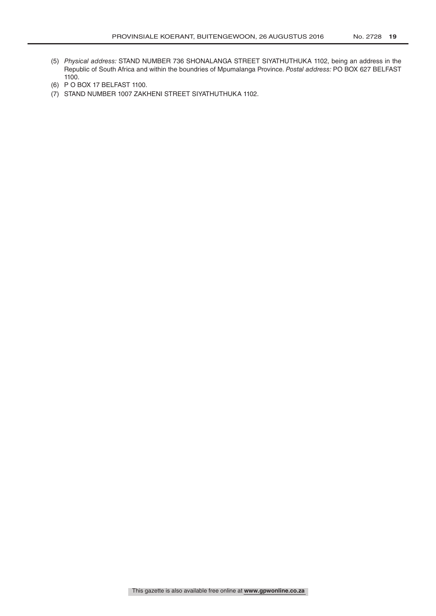- (5) *Physical address:* STAND NUMBER 736 SHONALANGA STREET SIYATHUTHUKA 1102, being an address in the Republic of South Africa and within the boundries of Mpumalanga Province. *Postal address:* PO BOX 627 BELFAST 1100.
- (6) P O BOX 17 BELFAST 1100.
- (7) STAND NUMBER 1007 ZAKHENI STREET SIYATHUTHUKA 1102.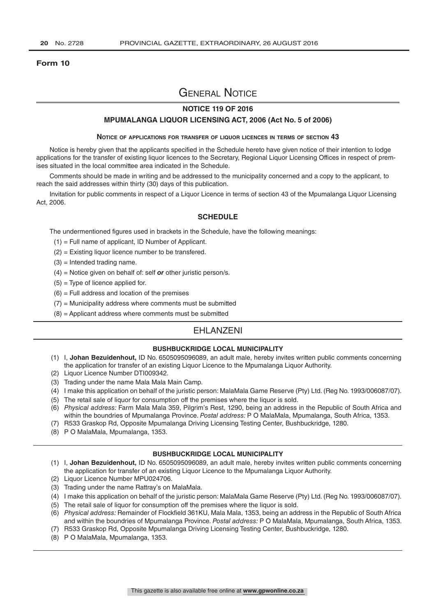#### **Form 10**

# General Notice

# **NOTICE 119 OF 2016**

#### **MPUMALANGA LIQUOR LICENSING ACT, 2006 (Act No. 5 of 2006)**

#### **Notice of applications for transfer of liquor licences in terms of section 43**

Notice is hereby given that the applicants specified in the Schedule hereto have given notice of their intention to lodge applications for the transfer of existing liquor licences to the Secretary, Regional Liquor Licensing Offices in respect of premises situated in the local committee area indicated in the Schedule.

Comments should be made in writing and be addressed to the municipality concerned and a copy to the applicant, to reach the said addresses within thirty (30) days of this publication.

Invitation for public comments in respect of a Liquor Licence in terms of section 43 of the Mpumalanga Liquor Licensing Act, 2006.

#### **SCHEDULE**

The undermentioned figures used in brackets in the Schedule, have the following meanings:

- (1) = Full name of applicant, ID Number of Applicant.
- (2) = Existing liquor licence number to be transfered.
- $(3)$  = Intended trading name.
- (4) = Notice given on behalf of: self *or* other juristic person/s.
- $(5)$  = Type of licence applied for.
- $(6)$  = Full address and location of the premises
- $(7)$  = Municipality address where comments must be submitted
- $(8)$  = Applicant address where comments must be submitted

# EHLANZENI

#### **BUSHBUCKRIDGE LOCAL MUNICIPALITY**

- (1) I, **Johan Bezuidenhout,** ID No. 6505095096089, an adult male, hereby invites written public comments concerning the application for transfer of an existing Liquor Licence to the Mpumalanga Liquor Authority.
- (2) Liquor Licence Number DTI009342.
- (3) Trading under the name Mala Mala Main Camp.
- (4) I make this application on behalf of the juristic person: MalaMala Game Reserve (Pty) Ltd. (Reg No. 1993/006087/07).
- (5) The retail sale of liquor for consumption off the premises where the liquor is sold.
- (6) *Physical address:* Farm Mala Mala 359, Pilgrim's Rest, 1290, being an address in the Republic of South Africa and within the boundries of Mpumalanga Province. *Postal address:* P O MalaMala, Mpumalanga, South Africa, 1353.
- (7) R533 Graskop Rd, Opposite Mpumalanga Driving Licensing Testing Center, Bushbuckridge, 1280.
- (8) P O MalaMala, Mpumalanga, 1353.

#### **BUSHBUCKRIDGE LOCAL MUNICIPALITY**

- (1) I, **Johan Bezuidenhout,** ID No. 6505095096089, an adult male, hereby invites written public comments concerning the application for transfer of an existing Liquor Licence to the Mpumalanga Liquor Authority.
- (2) Liquor Licence Number MPU024706.
- (3) Trading under the name Rattray's on MalaMala.
- (4) I make this application on behalf of the juristic person: MalaMala Game Reserve (Pty) Ltd. (Reg No. 1993/006087/07).
- (5) The retail sale of liquor for consumption off the premises where the liquor is sold.
- (6) *Physical address:* Remainder of Flockfield 361KU, Mala Mala, 1353, being an address in the Republic of South Africa and within the boundries of Mpumalanga Province. *Postal address:* P O MalaMala, Mpumalanga, South Africa, 1353.
- (7) R533 Graskop Rd, Opposite Mpumalanga Driving Licensing Testing Center, Bushbuckridge, 1280.
- (8) P O MalaMala, Mpumalanga, 1353.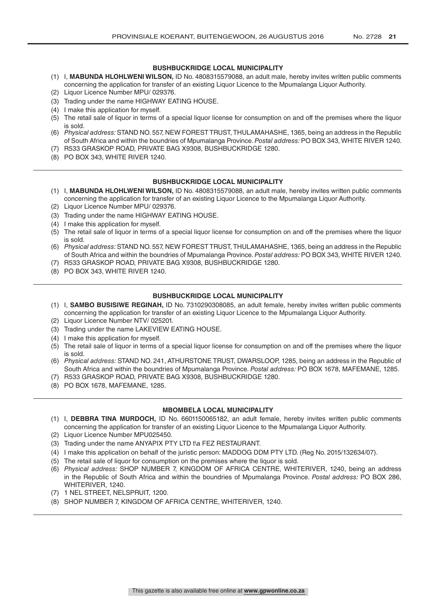#### **BUSHBUCKRIDGE LOCAL MUNICIPALITY**

- (1) I, **MABUNDA HLOHLWENI WILSON,** ID No. 4808315579088, an adult male, hereby invites written public comments concerning the application for transfer of an existing Liquor Licence to the Mpumalanga Liquor Authority.
- (2) Liquor Licence Number MPU/ 029376.
- (3) Trading under the name HIGHWAY EATING HOUSE.
- (4) I make this application for myself.
- (5) The retail sale of liquor in terms of a special liquor license for consumption on and off the premises where the liquor is sold.
- (6) *Physical address:* STAND NO. 557, NEW FOREST TRUST, THULAMAHASHE, 1365, being an address in the Republic of South Africa and within the boundries of Mpumalanga Province. *Postal address:* PO BOX 343, WHITE RIVER 1240.
- (7) R533 GRASKOP ROAD, PRIVATE BAG X9308, BUSHBUCKRIDGE 1280.
- (8) PO BOX 343, WHITE RIVER 1240.

#### **BUSHBUCKRIDGE LOCAL MUNICIPALITY**

- (1) I, **MABUNDA HLOHLWENI WILSON,** ID No. 4808315579088, an adult male, hereby invites written public comments concerning the application for transfer of an existing Liquor Licence to the Mpumalanga Liquor Authority.
- (2) Liquor Licence Number MPU/ 029376.
- (3) Trading under the name HIGHWAY EATING HOUSE.
- (4) I make this application for myself.
- (5) The retail sale of liquor in terms of a special liquor license for consumption on and off the premises where the liquor is sold.
- (6) *Physical address:* STAND NO. 557, NEW FOREST TRUST, THULAMAHASHE, 1365, being an address in the Republic of South Africa and within the boundries of Mpumalanga Province. *Postal address:* PO BOX 343, WHITE RIVER 1240.
- (7) R533 GRASKOP ROAD, PRIVATE BAG X9308, BUSHBUCKRIDGE 1280.
- (8) PO BOX 343, WHITE RIVER 1240.

### **BUSHBUCKRIDGE LOCAL MUNICIPALITY**

- (1) I, **SAMBO BUSISIWE REGINAH,** ID No. 7310290308085, an adult female, hereby invites written public comments concerning the application for transfer of an existing Liquor Licence to the Mpumalanga Liquor Authority.
- (2) Liquor Licence Number NTV/ 025201.
- (3) Trading under the name LAKEVIEW EATING HOUSE.
- (4) I make this application for myself.
- (5) The retail sale of liquor in terms of a special liquor license for consumption on and off the premises where the liquor is sold.
- (6) *Physical address:* STAND NO. 241, ATHURSTONE TRUST, DWARSLOOP, 1285, being an address in the Republic of South Africa and within the boundries of Mpumalanga Province. *Postal address:* PO BOX 1678, MAFEMANE, 1285.
- (7) R533 GRASKOP ROAD, PRIVATE BAG X9308, BUSHBUCKRIDGE 1280.
- (8) PO BOX 1678, MAFEMANE, 1285.

#### **MBOMBELA LOCAL MUNICIPALITY**

- (1) I, **DEBBRA TINA MURDOCH,** ID No. 6601150065182, an adult female, hereby invites written public comments concerning the application for transfer of an existing Liquor Licence to the Mpumalanga Liquor Authority.
- (2) Liquor Licence Number MPU025450.
- (3) Trading under the name ANYAPIX PTY LTD t\a FEZ RESTAURANT.
- (4) I make this application on behalf of the juristic person: MADDOG DDM PTY LTD. (Reg No. 2015/132634/07).
- (5) The retail sale of liquor for consumption on the premises where the liquor is sold.
- (6) *Physical address:* SHOP NUMBER 7, KINGDOM OF AFRICA CENTRE, WHITERIVER, 1240, being an address in the Republic of South Africa and within the boundries of Mpumalanga Province. *Postal address:* PO BOX 286, WHITERIVER, 1240.
- (7) 1 NEL STREET, NELSPRUIT, 1200.
- (8) SHOP NUMBER 7, KINGDOM OF AFRICA CENTRE, WHITERIVER, 1240.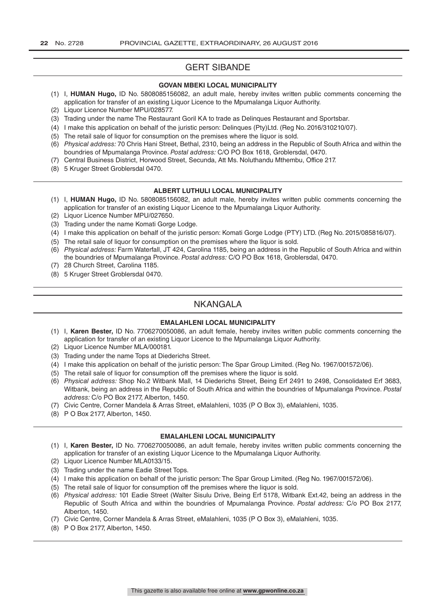# GERT SIBANDE

#### **GOVAN MBEKI LOCAL MUNICIPALITY**

- (1) I, **HUMAN Hugo,** ID No. 5808085156082, an adult male, hereby invites written public comments concerning the application for transfer of an existing Liquor Licence to the Mpumalanga Liquor Authority.
- (2) Liquor Licence Number MPU/028577.
- (3) Trading under the name The Restaurant Goril KA to trade as Delinques Restaurant and Sportsbar.
- (4) I make this application on behalf of the juristic person: Delinques (Pty)Ltd. (Reg No. 2016/310210/07).
- (5) The retail sale of liquor for consumption on the premises where the liquor is sold.
- (6) *Physical address:* 70 Chris Hani Street, Bethal, 2310, being an address in the Republic of South Africa and within the boundries of Mpumalanga Province. *Postal address:* C/O PO Box 1618, Groblersdal, 0470.
- (7) Central Business District, Horwood Street, Secunda, Att Ms. Noluthandu Mthembu, Office 217.
- (8) 5 Kruger Street Groblersdal 0470.

#### **ALBERT LUTHULI LOCAL MUNICIPALITY**

- (1) I, **HUMAN Hugo,** ID No. 5808085156082, an adult male, hereby invites written public comments concerning the application for transfer of an existing Liquor Licence to the Mpumalanga Liquor Authority.
- (2) Liquor Licence Number MPU/027650.
- (3) Trading under the name Komati Gorge Lodge.
- (4) I make this application on behalf of the juristic person: Komati Gorge Lodge (PTY) LTD. (Reg No. 2015/085816/07).
- (5) The retail sale of liquor for consumption on the premises where the liquor is sold.
- (6) *Physical address:* Farm Waterfall, JT 424, Carolina 1185, being an address in the Republic of South Africa and within the boundries of Mpumalanga Province. *Postal address:* C/O PO Box 1618, Groblersdal, 0470.
- (7) 28 Church Street, Carolina 1185.
- (8) 5 Kruger Street Groblersdal 0470.

# NKANGALA

#### **EMALAHLENI LOCAL MUNICIPALITY**

- (1) I, **Karen Bester,** ID No. 7706270050086, an adult female, hereby invites written public comments concerning the application for transfer of an existing Liquor Licence to the Mpumalanga Liquor Authority.
- (2) Liquor Licence Number MLA/000181.
- (3) Trading under the name Tops at Diederichs Street.
- (4) I make this application on behalf of the juristic person: The Spar Group Limited. (Reg No. 1967/001572/06).
- (5) The retail sale of liquor for consumption off the premises where the liquor is sold.
- (6) *Physical address:* Shop No.2 Witbank Mall, 14 Diederichs Street, Being Erf 2491 to 2498, Consolidated Erf 3683, Witbank, being an address in the Republic of South Africa and within the boundries of Mpumalanga Province. *Postal address:* C/o PO Box 2177, Alberton, 1450.
- (7) Civic Centre, Corner Mandela & Arras Street, eMalahleni, 1035 (P O Box 3), eMalahleni, 1035.
- (8) P O Box 2177, Alberton, 1450.

#### **EMALAHLENI LOCAL MUNICIPALITY**

- (1) I, **Karen Bester,** ID No. 7706270050086, an adult female, hereby invites written public comments concerning the application for transfer of an existing Liquor Licence to the Mpumalanga Liquor Authority.
- (2) Liquor Licence Number MLA0133/15.
- (3) Trading under the name Eadie Street Tops.
- (4) I make this application on behalf of the juristic person: The Spar Group Limited. (Reg No. 1967/001572/06).
- (5) The retail sale of liquor for consumption off the premises where the liquor is sold.
- (6) *Physical address:* 101 Eadie Street (Walter Sisulu Drive, Being Erf 5178, Witbank Ext.42, being an address in the Republic of South Africa and within the boundries of Mpumalanga Province. *Postal address:* C/o PO Box 2177, Alberton, 1450.
- (7) Civic Centre, Corner Mandela & Arras Street, eMalahleni, 1035 (P O Box 3), eMalahleni, 1035.
- (8) P O Box 2177, Alberton, 1450.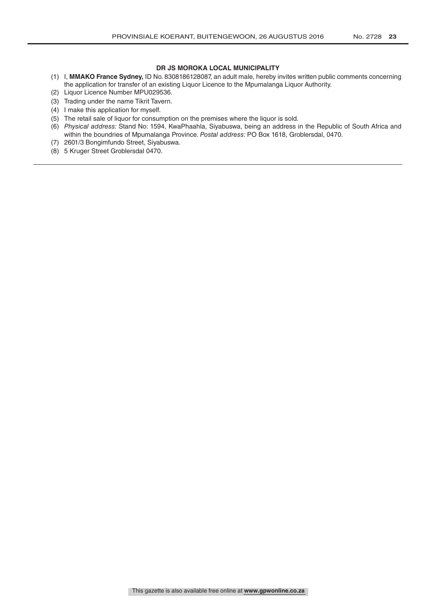### **DR JS MOROKA LOCAL MUNICIPALITY**

- (1) I, **MMAKO France Sydney,** ID No. 8308186128087, an adult male, hereby invites written public comments concerning the application for transfer of an existing Liquor Licence to the Mpumalanga Liquor Authority.
- (2) Liquor Licence Number MPU029536.
- (3) Trading under the name Tikrit Tavern.
- (4) I make this application for myself.
- (5) The retail sale of liquor for consumption on the premises where the liquor is sold.
- (6) *Physical address:* Stand No: 1594, KwaPhaahla, Siyabuswa, being an address in the Republic of South Africa and within the boundries of Mpumalanga Province. *Postal address:* PO Box 1618, Groblersdal, 0470.
- (7) 2601/3 Bongimfundo Street, Siyabuswa.
- (8) 5 Kruger Street Groblersdal 0470.